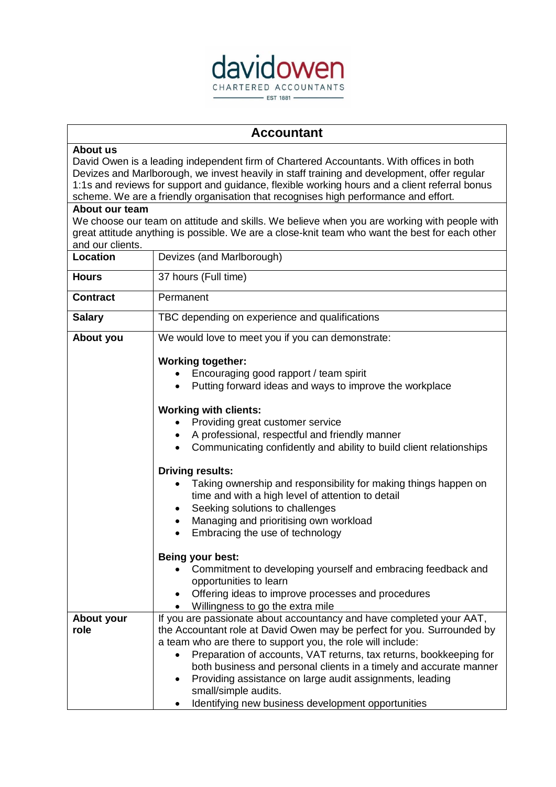

## **Accountant**

## **About us**

David Owen is a leading independent firm of Chartered Accountants. With offices in both Devizes and Marlborough, we invest heavily in staff training and development, offer regular 1:1s and reviews for support and guidance, flexible working hours and a client referral bonus scheme. We are a friendly organisation that recognises high performance and effort.

## **About our team**

We choose our team on attitude and skills. We believe when you are working with people with great attitude anything is possible. We are a close-knit team who want the best for each other and our clients.

| Location           | Devizes (and Marlborough)                                                                                                                                                                                                                                                                                                                                                                                                                                                                                         |
|--------------------|-------------------------------------------------------------------------------------------------------------------------------------------------------------------------------------------------------------------------------------------------------------------------------------------------------------------------------------------------------------------------------------------------------------------------------------------------------------------------------------------------------------------|
| <b>Hours</b>       | 37 hours (Full time)                                                                                                                                                                                                                                                                                                                                                                                                                                                                                              |
| <b>Contract</b>    | Permanent                                                                                                                                                                                                                                                                                                                                                                                                                                                                                                         |
| <b>Salary</b>      | TBC depending on experience and qualifications                                                                                                                                                                                                                                                                                                                                                                                                                                                                    |
| About you          | We would love to meet you if you can demonstrate:                                                                                                                                                                                                                                                                                                                                                                                                                                                                 |
|                    | <b>Working together:</b><br>Encouraging good rapport / team spirit<br>Putting forward ideas and ways to improve the workplace<br><b>Working with clients:</b>                                                                                                                                                                                                                                                                                                                                                     |
|                    | Providing great customer service<br>A professional, respectful and friendly manner<br>Communicating confidently and ability to build client relationships                                                                                                                                                                                                                                                                                                                                                         |
|                    | <b>Driving results:</b><br>Taking ownership and responsibility for making things happen on<br>time and with a high level of attention to detail<br>Seeking solutions to challenges<br>Managing and prioritising own workload<br>Embracing the use of technology                                                                                                                                                                                                                                                   |
|                    | Being your best:<br>Commitment to developing yourself and embracing feedback and<br>opportunities to learn<br>Offering ideas to improve processes and procedures<br>Willingness to go the extra mile                                                                                                                                                                                                                                                                                                              |
| About your<br>role | If you are passionate about accountancy and have completed your AAT,<br>the Accountant role at David Owen may be perfect for you. Surrounded by<br>a team who are there to support you, the role will include:<br>Preparation of accounts, VAT returns, tax returns, bookkeeping for<br>both business and personal clients in a timely and accurate manner<br>Providing assistance on large audit assignments, leading<br>$\bullet$<br>small/simple audits.<br>Identifying new business development opportunities |